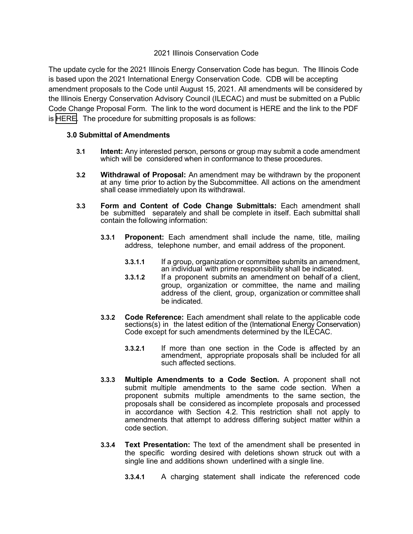## 2021 Illinois Conservation Code

The update cycle for the 2021 Illinois Energy Conservation Code has begun. The Illinois Code is based upon the 2021 International Energy Conservation Code. CDB will be accepting amendment proposals to the Code until August 15, 2021. All amendments will be considered by the Illinois Energy Conservation Advisory Council (ILECAC) and must be submitted on a Public Code Change Proposal Form. The link to the word document is HERE and the link to the PDF is [HERE.](https://www2.illinois.gov/cdb/business/codes/Documents/2021%20IECC%20Amendment%20Proposal%20Form.pdf) The procedure for submitting proposals is as follows:

## **3.0 Submittal of Amendments**

- **3.1 Intent:** Any interested person, persons or group may submit a code amendment which will be considered when in conformance to these procedures.
- **3.2 Withdrawal of Proposal:** An amendment may be withdrawn by the proponent at any time prior to action by the Subcommittee. All actions on the amendment shall cease immediately upon its withdrawal.
- **3.3 Form and Content of Code Change Submittals:** Each amendment shall be submitted separately and shall be complete in itself. Each submittal shall contain the following information:
	- **3.3.1 Proponent:** Each amendment shall include the name, title, mailing address, telephone number, and email address of the proponent.
		- **3.3.1.1** If a group, organization or committee submits an amendment,<br>an individual with prime responsibility shall be indicated.
		- **3.3.1.2** If a proponent submits an amendment on behalf of a client, group, organization or committee, the name and mailing address of the client, group, organization or committee shall be indicated.
	- **3.3.2 Code Reference:** Each amendment shall relate to the applicable code sections(s) in the latest edition of the (International Energy Conservation) Code except for such amendments determined by the ILECAC.
		- **3.3.2.1** If more than one section in the Code is affected by an amendment, appropriate proposals shall be included for all such affected sections.
	- **3.3.3 Multiple Amendments to a Code Section.** A proponent shall not submit multiple amendments to the same code section. When a proponent submits multiple amendments to the same section, the proposals shall be considered as incomplete proposals and processed in accordance with Section 4.2. This restriction shall not apply to amendments that attempt to address differing subject matter within a code section.
	- **3.3.4 Text Presentation:** The text of the amendment shall be presented in the specific wording desired with deletions shown struck out with a single line and additions shown underlined with a single line.
		- **3.3.4.1** A charging statement shall indicate the referenced code